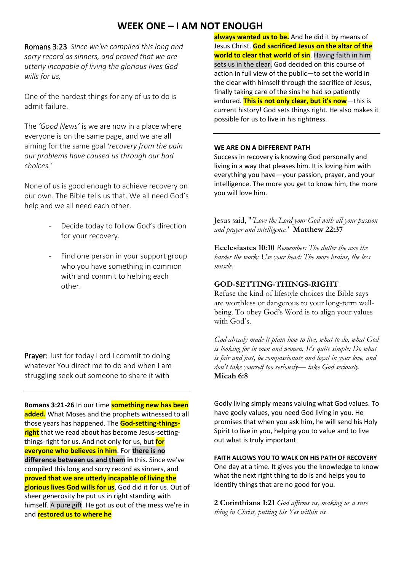# **WEEK ONE – I AM NOT ENOUGH**

Romans 3:23 *Since we've compiled this long and sorry record as sinners, and proved that we are utterly incapable of living the glorious lives God wills for us,*

One of the hardest things for any of us to do is admit failure.

The *'Good News'* is we are now in a place where everyone is on the same page, and we are all aiming for the same goal *'recovery from the pain our problems have caused us through our bad choices.'*

None of us is good enough to achieve recovery on our own. The Bible tells us that. We all need God's help and we all need each other.

- Decide today to follow God's direction for your recovery.
- Find one person in your support group who you have something in common with and commit to helping each other.

Prayer: Just for today Lord I commit to doing whatever You direct me to do and when I am struggling seek out someone to share it with

**Romans 3:21-26** In our time **something new has been added.** What Moses and the prophets witnessed to all those years has happened. The **God-setting-thingsright** that we read about has become Jesus-settingthings-right for us. And not only for us, but **for everyone who believes in him**. For **there is no difference between us and them in** this. Since we've compiled this long and sorry record as sinners, and **proved that we are utterly incapable of living the glorious lives God wills for us**, God did it for us. Out of sheer generosity he put us in right standing with himself. A pure gift. He got us out of the mess we're in and **restored us to where he**

**always wanted us to be.** And he did it by means of Jesus Christ. **God sacrificed Jesus on the altar of the world to clear that world of sin**. Having faith in him sets us in the clear. God decided on this course of action in full view of the public—to set the world in the clear with himself through the sacrifice of Jesus, finally taking care of the sins he had so patiently endured. **This is not only clear, but it's now**—this is current history! God sets things right. He also makes it possible for us to live in his rightness.

#### **WE ARE ON A DIFFERENT PATH**

Success in recovery is knowing God personally and living in a way that pleases him. It is loving him with everything you have—your passion, prayer, and your intelligence. The more you get to know him, the more you will love him.

Jesus said, "*'Love the Lord your God with all your passion and prayer and intelligence.'* **Matthew 22:37**

**Ecclesiastes 10:10** *Remember: The duller the axe the harder the work; Use your head: The more brains, the less muscle.*

### **GOD-SETTING-THINGS-RIGHT**

Refuse the kind of lifestyle choices the Bible says are worthless or dangerous to your long-term wellbeing. To obey God's Word is to align your values with God's.

*God already made it plain how to live, what to do, what God is looking for in men and women. It's quite simple: Do what is fair and just, be compassionate and loyal in your love, and don't take yourself too seriously— take God seriously.* **Micah 6:8**

Godly living simply means valuing what God values. To have godly values, you need God living in you. He promises that when you ask him, he will send his Holy Spirit to live in you, helping you to value and to live out what is truly important

#### **FAITH ALLOWS YOU TO WALK ON HIS PATH OF RECOVERY**

One day at a time. It gives you the knowledge to know what the next right thing to do is and helps you to identify things that are no good for you.

**2 Corinthians 1:21** *God affirms us, making us a sure thing in Christ, putting his Yes within us.*